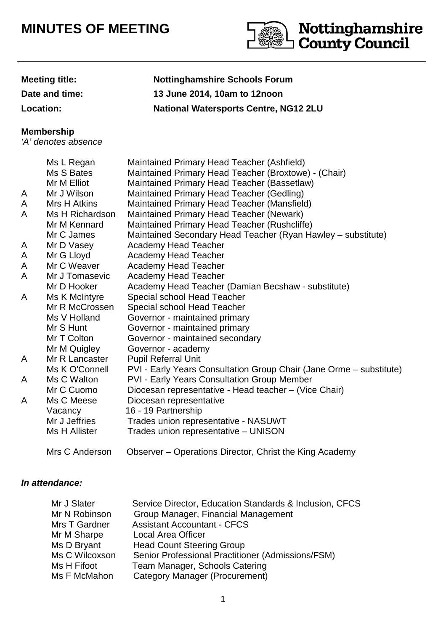## **MINUTES OF MEETING**



**Meeting title: Nottinghamshire Schools Forum Date and time: 13 June 2014, 10am to 12noon Location: National Watersports Centre, NG12 2LU**

## **Membership**

'A' denotes absence

|   | Ms L Regan      | Maintained Primary Head Teacher (Ashfield)                          |
|---|-----------------|---------------------------------------------------------------------|
|   | Ms S Bates      | Maintained Primary Head Teacher (Broxtowe) - (Chair)                |
|   | Mr M Elliot     | Maintained Primary Head Teacher (Bassetlaw)                         |
| A | Mr J Wilson     | Maintained Primary Head Teacher (Gedling)                           |
| A | Mrs H Atkins    | Maintained Primary Head Teacher (Mansfield)                         |
| A | Ms H Richardson | Maintained Primary Head Teacher (Newark)                            |
|   | Mr M Kennard    | Maintained Primary Head Teacher (Rushcliffe)                        |
|   | Mr C James      | Maintained Secondary Head Teacher (Ryan Hawley - substitute)        |
| A | Mr D Vasey      | Academy Head Teacher                                                |
| A | Mr G Lloyd      | <b>Academy Head Teacher</b>                                         |
| A | Mr C Weaver     | <b>Academy Head Teacher</b>                                         |
| A | Mr J Tomasevic  | <b>Academy Head Teacher</b>                                         |
|   | Mr D Hooker     | Academy Head Teacher (Damian Becshaw - substitute)                  |
| A | Ms K McIntyre   | Special school Head Teacher                                         |
|   | Mr R McCrossen  | Special school Head Teacher                                         |
|   | Ms V Holland    | Governor - maintained primary                                       |
|   | Mr S Hunt       | Governor - maintained primary                                       |
|   | Mr T Colton     | Governor - maintained secondary                                     |
|   | Mr M Quigley    | Governor - academy                                                  |
| A | Mr R Lancaster  | <b>Pupil Referral Unit</b>                                          |
|   | Ms K O'Connell  | PVI - Early Years Consultation Group Chair (Jane Orme - substitute) |
| A | Ms C Walton     | <b>PVI - Early Years Consultation Group Member</b>                  |
|   | Mr C Cuomo      | Diocesan representative - Head teacher - (Vice Chair)               |
| A | Ms C Meese      | Diocesan representative                                             |
|   | Vacancy         | 16 - 19 Partnership                                                 |
|   | Mr J Jeffries   | Trades union representative - NASUWT                                |
|   | Ms H Allister   | Trades union representative - UNISON                                |
|   | Mrs C Anderson  | Observer – Operations Director, Christ the King Academy             |

## **In attendance:**

| Mr J Slater    | Service Director, Education Standards & Inclusion, CFCS |
|----------------|---------------------------------------------------------|
| Mr N Robinson  | Group Manager, Financial Management                     |
| Mrs T Gardner  | <b>Assistant Accountant - CFCS</b>                      |
| Mr M Sharpe    | Local Area Officer                                      |
| Ms D Bryant    | <b>Head Count Steering Group</b>                        |
| Ms C Wilcoxson | Senior Professional Practitioner (Admissions/FSM)       |
| Ms H Fifoot    | Team Manager, Schools Catering                          |
| Ms F McMahon   | <b>Category Manager (Procurement)</b>                   |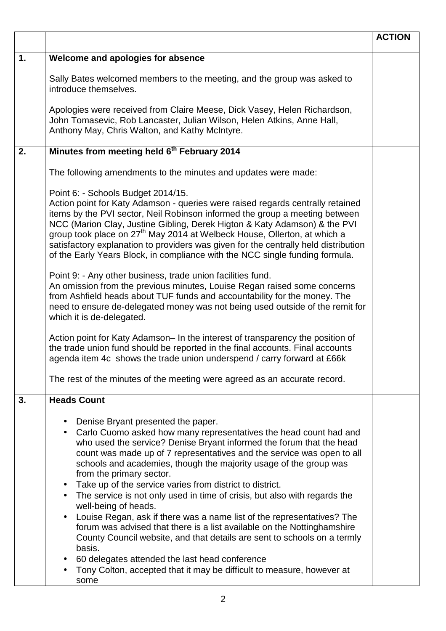|    |                                                                                                                                                                                                                                                                                                                                                                                                                                                                                                                                                                                                                                                                                                                                                                                                                                                                                                                                                                                                    | <b>ACTION</b> |
|----|----------------------------------------------------------------------------------------------------------------------------------------------------------------------------------------------------------------------------------------------------------------------------------------------------------------------------------------------------------------------------------------------------------------------------------------------------------------------------------------------------------------------------------------------------------------------------------------------------------------------------------------------------------------------------------------------------------------------------------------------------------------------------------------------------------------------------------------------------------------------------------------------------------------------------------------------------------------------------------------------------|---------------|
| 1. | Welcome and apologies for absence                                                                                                                                                                                                                                                                                                                                                                                                                                                                                                                                                                                                                                                                                                                                                                                                                                                                                                                                                                  |               |
|    | Sally Bates welcomed members to the meeting, and the group was asked to<br>introduce themselves.                                                                                                                                                                                                                                                                                                                                                                                                                                                                                                                                                                                                                                                                                                                                                                                                                                                                                                   |               |
|    | Apologies were received from Claire Meese, Dick Vasey, Helen Richardson,<br>John Tomasevic, Rob Lancaster, Julian Wilson, Helen Atkins, Anne Hall,<br>Anthony May, Chris Walton, and Kathy McIntyre.                                                                                                                                                                                                                                                                                                                                                                                                                                                                                                                                                                                                                                                                                                                                                                                               |               |
| 2. | Minutes from meeting held 6 <sup>th</sup> February 2014                                                                                                                                                                                                                                                                                                                                                                                                                                                                                                                                                                                                                                                                                                                                                                                                                                                                                                                                            |               |
|    | The following amendments to the minutes and updates were made:                                                                                                                                                                                                                                                                                                                                                                                                                                                                                                                                                                                                                                                                                                                                                                                                                                                                                                                                     |               |
|    | Point 6: - Schools Budget 2014/15.<br>Action point for Katy Adamson - queries were raised regards centrally retained<br>items by the PVI sector, Neil Robinson informed the group a meeting between<br>NCC (Marion Clay, Justine Gibling, Derek Higton & Katy Adamson) & the PVI<br>group took place on 27 <sup>th</sup> May 2014 at Welbeck House, Ollerton, at which a<br>satisfactory explanation to providers was given for the centrally held distribution<br>of the Early Years Block, in compliance with the NCC single funding formula.<br>Point 9: - Any other business, trade union facilities fund.<br>An omission from the previous minutes, Louise Regan raised some concerns                                                                                                                                                                                                                                                                                                         |               |
|    | from Ashfield heads about TUF funds and accountability for the money. The<br>need to ensure de-delegated money was not being used outside of the remit for<br>which it is de-delegated.<br>Action point for Katy Adamson– In the interest of transparency the position of<br>the trade union fund should be reported in the final accounts. Final accounts                                                                                                                                                                                                                                                                                                                                                                                                                                                                                                                                                                                                                                         |               |
|    | agenda item 4c shows the trade union underspend / carry forward at £66k                                                                                                                                                                                                                                                                                                                                                                                                                                                                                                                                                                                                                                                                                                                                                                                                                                                                                                                            |               |
|    | The rest of the minutes of the meeting were agreed as an accurate record.                                                                                                                                                                                                                                                                                                                                                                                                                                                                                                                                                                                                                                                                                                                                                                                                                                                                                                                          |               |
| 3. | <b>Heads Count</b><br>Denise Bryant presented the paper.<br>$\bullet$<br>Carlo Cuomo asked how many representatives the head count had and<br>$\bullet$<br>who used the service? Denise Bryant informed the forum that the head<br>count was made up of 7 representatives and the service was open to all<br>schools and academies, though the majority usage of the group was<br>from the primary sector.<br>• Take up of the service varies from district to district.<br>The service is not only used in time of crisis, but also with regards the<br>$\bullet$<br>well-being of heads.<br>Louise Regan, ask if there was a name list of the representatives? The<br>$\bullet$<br>forum was advised that there is a list available on the Nottinghamshire<br>County Council website, and that details are sent to schools on a termly<br>basis.<br>60 delegates attended the last head conference<br>$\bullet$<br>Tony Colton, accepted that it may be difficult to measure, however at<br>some |               |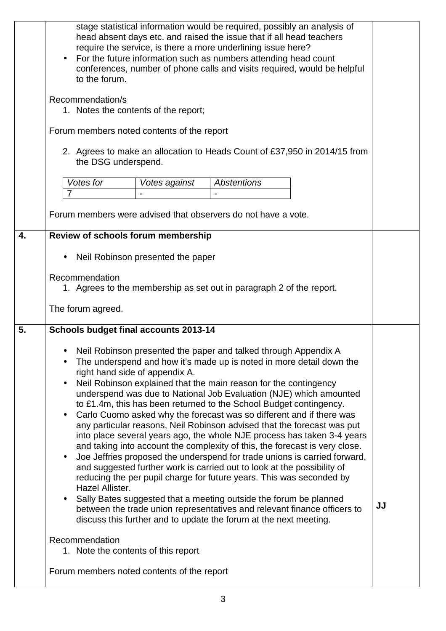|    | stage statistical information would be required, possibly an analysis of<br>head absent days etc. and raised the issue that if all head teachers<br>require the service, is there a more underlining issue here?<br>For the future information such as numbers attending head count<br>$\bullet$<br>conferences, number of phone calls and visits required, would be helpful<br>to the forum.<br>Recommendation/s<br>1. Notes the contents of the report;<br>Forum members noted contents of the report<br>2. Agrees to make an allocation to Heads Count of £37,950 in 2014/15 from<br>the DSG underspend.                                                                                                                                                                                                                                                                                                                                                                                                                                                                                                                                                                                                                         |    |
|----|-------------------------------------------------------------------------------------------------------------------------------------------------------------------------------------------------------------------------------------------------------------------------------------------------------------------------------------------------------------------------------------------------------------------------------------------------------------------------------------------------------------------------------------------------------------------------------------------------------------------------------------------------------------------------------------------------------------------------------------------------------------------------------------------------------------------------------------------------------------------------------------------------------------------------------------------------------------------------------------------------------------------------------------------------------------------------------------------------------------------------------------------------------------------------------------------------------------------------------------|----|
|    | Votes for<br><b>Abstentions</b><br>Votes against<br>$\overline{7}$                                                                                                                                                                                                                                                                                                                                                                                                                                                                                                                                                                                                                                                                                                                                                                                                                                                                                                                                                                                                                                                                                                                                                                  |    |
|    |                                                                                                                                                                                                                                                                                                                                                                                                                                                                                                                                                                                                                                                                                                                                                                                                                                                                                                                                                                                                                                                                                                                                                                                                                                     |    |
|    | Forum members were advised that observers do not have a vote.                                                                                                                                                                                                                                                                                                                                                                                                                                                                                                                                                                                                                                                                                                                                                                                                                                                                                                                                                                                                                                                                                                                                                                       |    |
| 4. | Review of schools forum membership                                                                                                                                                                                                                                                                                                                                                                                                                                                                                                                                                                                                                                                                                                                                                                                                                                                                                                                                                                                                                                                                                                                                                                                                  |    |
|    | Neil Robinson presented the paper<br>$\bullet$                                                                                                                                                                                                                                                                                                                                                                                                                                                                                                                                                                                                                                                                                                                                                                                                                                                                                                                                                                                                                                                                                                                                                                                      |    |
|    | Recommendation<br>1. Agrees to the membership as set out in paragraph 2 of the report.<br>The forum agreed.                                                                                                                                                                                                                                                                                                                                                                                                                                                                                                                                                                                                                                                                                                                                                                                                                                                                                                                                                                                                                                                                                                                         |    |
| 5. | <b>Schools budget final accounts 2013-14</b>                                                                                                                                                                                                                                                                                                                                                                                                                                                                                                                                                                                                                                                                                                                                                                                                                                                                                                                                                                                                                                                                                                                                                                                        |    |
|    | Neil Robinson presented the paper and talked through Appendix A<br>$\bullet$<br>The underspend and how it's made up is noted in more detail down the<br>right hand side of appendix A.<br>Neil Robinson explained that the main reason for the contingency<br>$\bullet$<br>underspend was due to National Job Evaluation (NJE) which amounted<br>to £1.4m, this has been returned to the School Budget contingency.<br>Carlo Cuomo asked why the forecast was so different and if there was<br>$\bullet$<br>any particular reasons, Neil Robinson advised that the forecast was put<br>into place several years ago, the whole NJE process has taken 3-4 years<br>and taking into account the complexity of this, the forecast is very close.<br>Joe Jeffries proposed the underspend for trade unions is carried forward,<br>and suggested further work is carried out to look at the possibility of<br>reducing the per pupil charge for future years. This was seconded by<br>Hazel Allister.<br>Sally Bates suggested that a meeting outside the forum be planned<br>$\bullet$<br>between the trade union representatives and relevant finance officers to<br>discuss this further and to update the forum at the next meeting. | JJ |
|    | Recommendation<br>1. Note the contents of this report                                                                                                                                                                                                                                                                                                                                                                                                                                                                                                                                                                                                                                                                                                                                                                                                                                                                                                                                                                                                                                                                                                                                                                               |    |
|    | Forum members noted contents of the report                                                                                                                                                                                                                                                                                                                                                                                                                                                                                                                                                                                                                                                                                                                                                                                                                                                                                                                                                                                                                                                                                                                                                                                          |    |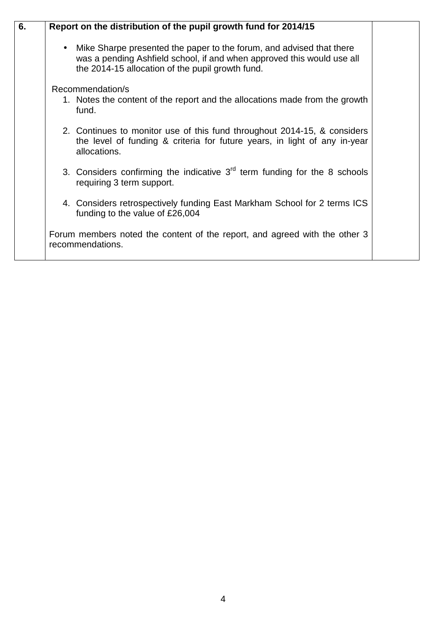| 6. | Report on the distribution of the pupil growth fund for 2014/15                                                                                                                                                 |  |
|----|-----------------------------------------------------------------------------------------------------------------------------------------------------------------------------------------------------------------|--|
|    | Mike Sharpe presented the paper to the forum, and advised that there<br>$\bullet$<br>was a pending Ashfield school, if and when approved this would use all<br>the 2014-15 allocation of the pupil growth fund. |  |
|    | Recommendation/s                                                                                                                                                                                                |  |
|    | 1. Notes the content of the report and the allocations made from the growth<br>fund.                                                                                                                            |  |
|    | 2. Continues to monitor use of this fund throughout 2014-15, & considers<br>the level of funding & criteria for future years, in light of any in-year<br>allocations.                                           |  |
|    | 3. Considers confirming the indicative $3rd$ term funding for the 8 schools<br>requiring 3 term support.                                                                                                        |  |
|    | 4. Considers retrospectively funding East Markham School for 2 terms ICS<br>funding to the value of £26,004                                                                                                     |  |
|    | Forum members noted the content of the report, and agreed with the other 3<br>recommendations.                                                                                                                  |  |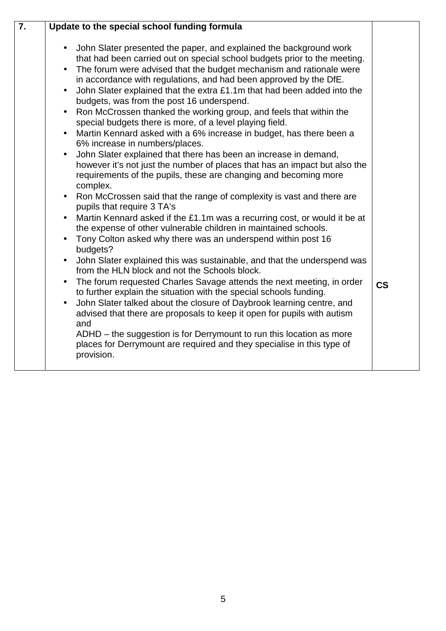| John Slater presented the paper, and explained the background work<br>that had been carried out on special school budgets prior to the meeting.<br>The forum were advised that the budget mechanism and rationale were<br>in accordance with regulations, and had been approved by the DfE.<br>John Slater explained that the extra £1.1m that had been added into the<br>budgets, was from the post 16 underspend.<br>Ron McCrossen thanked the working group, and feels that within the<br>special budgets there is more, of a level playing field.<br>Martin Kennard asked with a 6% increase in budget, has there been a<br>6% increase in numbers/places.                                                                                                                                                                                                                                                                                                                                                                                                                                                                                                                                      | $\overline{7}$ . | Update to the special school funding formula |  |
|-----------------------------------------------------------------------------------------------------------------------------------------------------------------------------------------------------------------------------------------------------------------------------------------------------------------------------------------------------------------------------------------------------------------------------------------------------------------------------------------------------------------------------------------------------------------------------------------------------------------------------------------------------------------------------------------------------------------------------------------------------------------------------------------------------------------------------------------------------------------------------------------------------------------------------------------------------------------------------------------------------------------------------------------------------------------------------------------------------------------------------------------------------------------------------------------------------|------------------|----------------------------------------------|--|
| John Slater explained that there has been an increase in demand,<br>$\bullet$<br>however it's not just the number of places that has an impact but also the<br>requirements of the pupils, these are changing and becoming more<br>complex.<br>• Ron McCrossen said that the range of complexity is vast and there are<br>pupils that require 3 TA's<br>Martin Kennard asked if the £1.1m was a recurring cost, or would it be at<br>the expense of other vulnerable children in maintained schools.<br>Tony Colton asked why there was an underspend within post 16<br>budgets?<br>John Slater explained this was sustainable, and that the underspend was<br>from the HLN block and not the Schools block.<br>The forum requested Charles Savage attends the next meeting, in order<br><b>CS</b><br>to further explain the situation with the special schools funding.<br>John Slater talked about the closure of Daybrook learning centre, and<br>advised that there are proposals to keep it open for pupils with autism<br>and<br>ADHD - the suggestion is for Derrymount to run this location as more<br>places for Derrymount are required and they specialise in this type of<br>provision. |                  |                                              |  |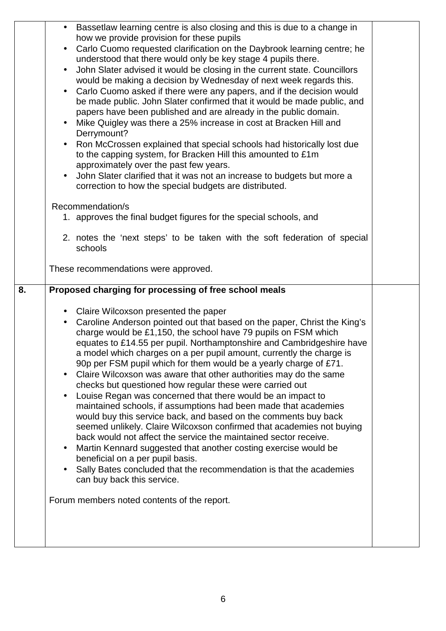| Bassetlaw learning centre is also closing and this is due to a change in<br>how we provide provision for these pupils<br>Carlo Cuomo requested clarification on the Daybrook learning centre; he<br>understood that there would only be key stage 4 pupils there.<br>John Slater advised it would be closing in the current state. Councillors<br>would be making a decision by Wednesday of next week regards this.<br>Carlo Cuomo asked if there were any papers, and if the decision would<br>be made public. John Slater confirmed that it would be made public, and<br>papers have been published and are already in the public domain.<br>Mike Quigley was there a 25% increase in cost at Bracken Hill and<br>Derrymount?<br>Ron McCrossen explained that special schools had historically lost due<br>to the capping system, for Bracken Hill this amounted to £1m<br>approximately over the past few years.<br>John Slater clarified that it was not an increase to budgets but more a<br>correction to how the special budgets are distributed.<br>Recommendation/s<br>1. approves the final budget figures for the special schools, and<br>2. notes the 'next steps' to be taken with the soft federation of special<br>schools<br>These recommendations were approved.<br>Proposed charging for processing of free school meals<br>• Claire Wilcoxson presented the paper<br>Caroline Anderson pointed out that based on the paper, Christ the King's<br>charge would be £1,150, the school have 79 pupils on FSM which<br>equates to £14.55 per pupil. Northamptonshire and Cambridgeshire have<br>a model which charges on a per pupil amount, currently the charge is<br>90p per FSM pupil which for them would be a yearly charge of £71.<br>Claire Wilcoxson was aware that other authorities may do the same<br>$\bullet$<br>checks but questioned how regular these were carried out<br>Louise Regan was concerned that there would be an impact to |                                  |
|------------------------------------------------------------------------------------------------------------------------------------------------------------------------------------------------------------------------------------------------------------------------------------------------------------------------------------------------------------------------------------------------------------------------------------------------------------------------------------------------------------------------------------------------------------------------------------------------------------------------------------------------------------------------------------------------------------------------------------------------------------------------------------------------------------------------------------------------------------------------------------------------------------------------------------------------------------------------------------------------------------------------------------------------------------------------------------------------------------------------------------------------------------------------------------------------------------------------------------------------------------------------------------------------------------------------------------------------------------------------------------------------------------------------------------------------------------------------------------------------------------------------------------------------------------------------------------------------------------------------------------------------------------------------------------------------------------------------------------------------------------------------------------------------------------------------------------------------------------------------------------------------------------------------------------------------------------------------|----------------------------------|
| maintained schools, if assumptions had been made that academies<br>would buy this service back, and based on the comments buy back<br>seemed unlikely. Claire Wilcoxson confirmed that academies not buying<br>back would not affect the service the maintained sector receive.<br>Martin Kennard suggested that another costing exercise would be                                                                                                                                                                                                                                                                                                                                                                                                                                                                                                                                                                                                                                                                                                                                                                                                                                                                                                                                                                                                                                                                                                                                                                                                                                                                                                                                                                                                                                                                                                                                                                                                                     |                                  |
| Sally Bates concluded that the recommendation is that the academies<br>can buy back this service.<br>Forum members noted contents of the report.                                                                                                                                                                                                                                                                                                                                                                                                                                                                                                                                                                                                                                                                                                                                                                                                                                                                                                                                                                                                                                                                                                                                                                                                                                                                                                                                                                                                                                                                                                                                                                                                                                                                                                                                                                                                                       |                                  |
|                                                                                                                                                                                                                                                                                                                                                                                                                                                                                                                                                                                                                                                                                                                                                                                                                                                                                                                                                                                                                                                                                                                                                                                                                                                                                                                                                                                                                                                                                                                                                                                                                                                                                                                                                                                                                                                                                                                                                                        | beneficial on a per pupil basis. |